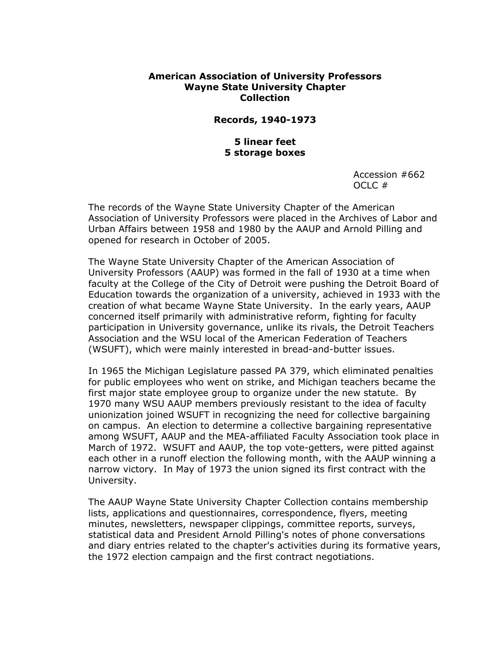#### **American Association of University Professors Wayne State University Chapter Collection**

#### **Records, 1940-1973**

#### **5 linear feet 5 storage boxes**

Accession #662 OCLC #

The records of the Wayne State University Chapter of the American Association of University Professors were placed in the Archives of Labor and Urban Affairs between 1958 and 1980 by the AAUP and Arnold Pilling and opened for research in October of 2005.

The Wayne State University Chapter of the American Association of University Professors (AAUP) was formed in the fall of 1930 at a time when faculty at the College of the City of Detroit were pushing the Detroit Board of Education towards the organization of a university, achieved in 1933 with the creation of what became Wayne State University. In the early years, AAUP concerned itself primarily with administrative reform, fighting for faculty participation in University governance, unlike its rivals, the Detroit Teachers Association and the WSU local of the American Federation of Teachers (WSUFT), which were mainly interested in bread-and-butter issues.

In 1965 the Michigan Legislature passed PA 379, which eliminated penalties for public employees who went on strike, and Michigan teachers became the first major state employee group to organize under the new statute. By 1970 many WSU AAUP members previously resistant to the idea of faculty unionization joined WSUFT in recognizing the need for collective bargaining on campus. An election to determine a collective bargaining representative among WSUFT, AAUP and the MEA-affiliated Faculty Association took place in March of 1972. WSUFT and AAUP, the top vote-getters, were pitted against each other in a runoff election the following month, with the AAUP winning a narrow victory. In May of 1973 the union signed its first contract with the University.

The AAUP Wayne State University Chapter Collection contains membership lists, applications and questionnaires, correspondence, flyers, meeting minutes, newsletters, newspaper clippings, committee reports, surveys, statistical data and President Arnold Pilling's notes of phone conversations and diary entries related to the chapter's activities during its formative years, the 1972 election campaign and the first contract negotiations.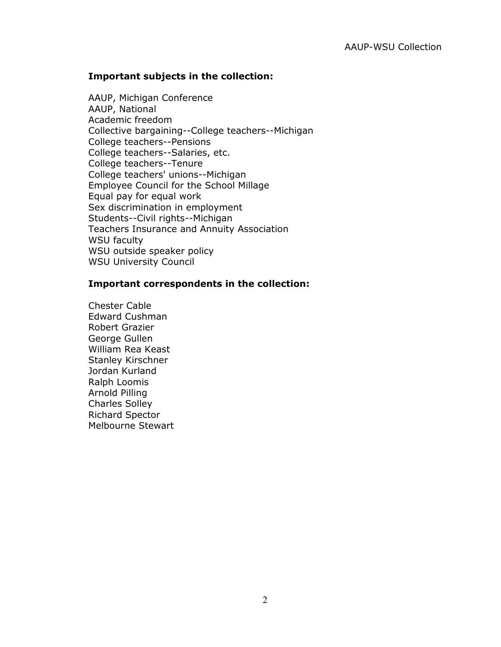### **Important subjects in the collection:**

AAUP, Michigan Conference AAUP, National Academic freedom Collective bargaining--College teachers--Michigan College teachers--Pensions College teachers--Salaries, etc. College teachers--Tenure College teachers' unions--Michigan Employee Council for the School Millage Equal pay for equal work Sex discrimination in employment Students--Civil rights--Michigan Teachers Insurance and Annuity Association WSU faculty WSU outside speaker policy WSU University Council

### **Important correspondents in the collection:**

Chester Cable Edward Cushman Robert Grazier George Gullen William Rea Keast Stanley Kirschner Jordan Kurland Ralph Loomis Arnold Pilling Charles Solley Richard Spector Melbourne Stewart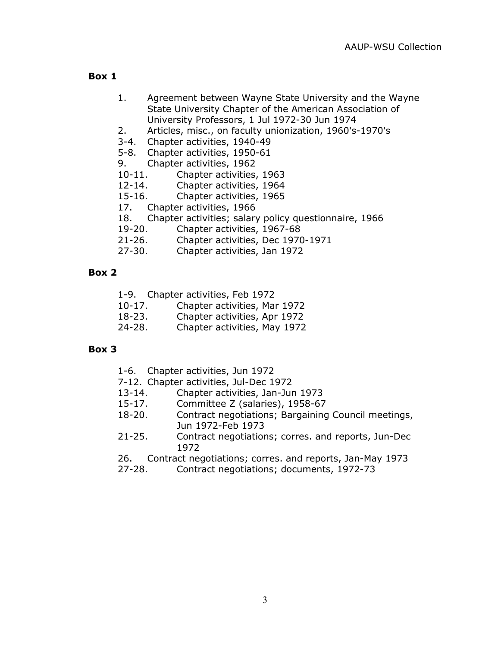# **Box 1**

- 1. Agreement between Wayne State University and the Wayne State University Chapter of the American Association of University Professors, 1 Jul 1972-30 Jun 1974
- 2. Articles, misc., on faculty unionization, 1960's-1970's
- 3-4. Chapter activities, 1940-49
- 5-8. Chapter activities, 1950-61
- 9. Chapter activities, 1962
- 10-11. Chapter activities, 1963
- 12-14. Chapter activities, 1964
- 15-16. Chapter activities, 1965
- 17. Chapter activities, 1966
- 18. Chapter activities; salary policy questionnaire, 1966
- 19-20. Chapter activities, 1967-68
- 21-26. Chapter activities, Dec 1970-1971
- 27-30. Chapter activities, Jan 1972

# **Box 2**

- 1-9. Chapter activities, Feb 1972
- 10-17. Chapter activities, Mar 1972
- 18-23. Chapter activities, Apr 1972
- 24-28. Chapter activities, May 1972

### **Box 3**

- 1-6. Chapter activities, Jun 1972
- 7-12. Chapter activities, Jul-Dec 1972
- 13-14. Chapter activities, Jan-Jun 1973
- 15-17. Committee Z (salaries), 1958-67
- 18-20. Contract negotiations; Bargaining Council meetings, Jun 1972-Feb 1973
- 21-25. Contract negotiations; corres. and reports, Jun-Dec 1972
- 26. Contract negotiations; corres. and reports, Jan-May 1973
- 27-28. Contract negotiations; documents, 1972-73